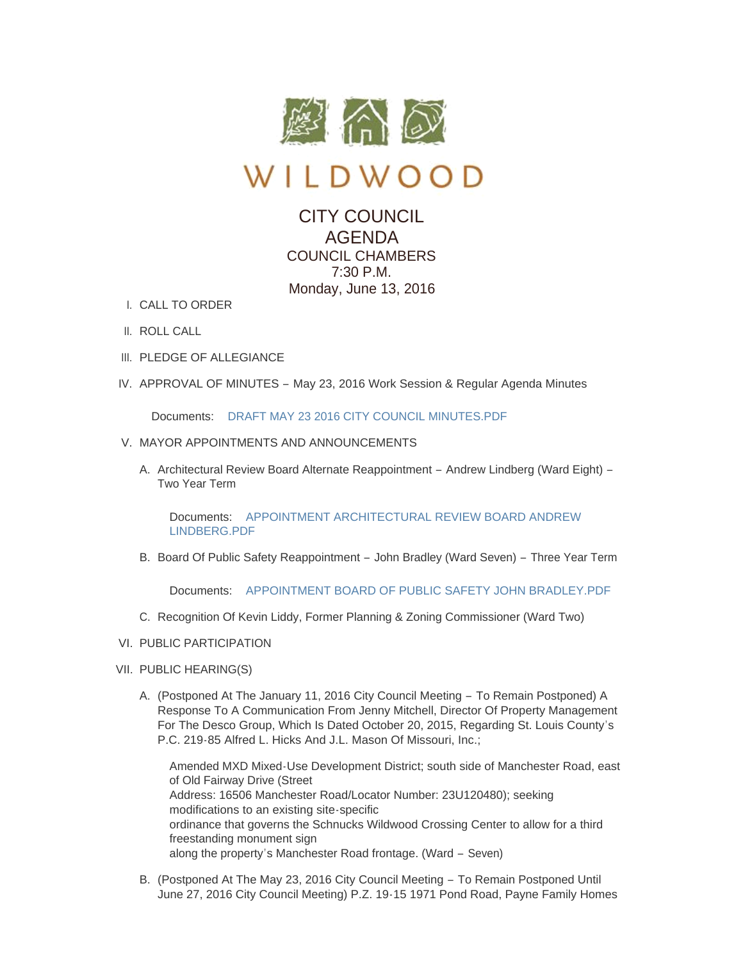

WILDWOOD

## CITY COUNCIL AGENDA COUNCIL CHAMBERS 7:30 P.M. Monday, June 13, 2016

- CALL TO ORDER I.
- II. ROLL CALL
- III. PLEDGE OF ALLEGIANCE
- IV. APPROVAL OF MINUTES May 23, 2016 Work Session & Regular Agenda Minutes

Documents: [DRAFT MAY 23 2016 CITY COUNCIL MINUTES.PDF](http://mo-wildwood.civicplus.com/AgendaCenter/ViewFile/Item/7234?fileID=10994)

- V. MAYOR APPOINTMENTS AND ANNOUNCEMENTS
	- A. Architectural Review Board Alternate Reappointment Andrew Lindberg (Ward Eight) -Two Year Term

Documents: APPOINTMENT ARCHITECTURAL REVIEW BOARD ANDREW LINDBERG.PDF

B. Board Of Public Safety Reappointment - John Bradley (Ward Seven) - Three Year Term

Documents: [APPOINTMENT BOARD OF PUBLIC SAFETY JOHN BRADLEY.PDF](http://mo-wildwood.civicplus.com/AgendaCenter/ViewFile/Item/7237?fileID=10996)

- C. Recognition Of Kevin Liddy, Former Planning & Zoning Commissioner (Ward Two)
- VI. PUBLIC PARTICIPATION
- VII. PUBLIC HEARING(S)
	- A. (Postponed At The January 11, 2016 City Council Meeting To Remain Postponed) A Response To A Communication From Jenny Mitchell, Director Of Property Management For The Desco Group, Which Is Dated October 20, 2015, Regarding St. Louis County's P.C. 219-85 Alfred L. Hicks And J.L. Mason Of Missouri, Inc.;

Amended MXD Mixed-Use Development District; south side of Manchester Road, east of Old Fairway Drive (Street Address: 16506 Manchester Road/Locator Number: 23U120480); seeking modifications to an existing site-specific ordinance that governs the Schnucks Wildwood Crossing Center to allow for a third freestanding monument sign along the property's Manchester Road frontage. (Ward – Seven)

B. (Postponed At The May 23, 2016 City Council Meeting - To Remain Postponed Until June 27, 2016 City Council Meeting) P.Z. 19-15 1971 Pond Road, Payne Family Homes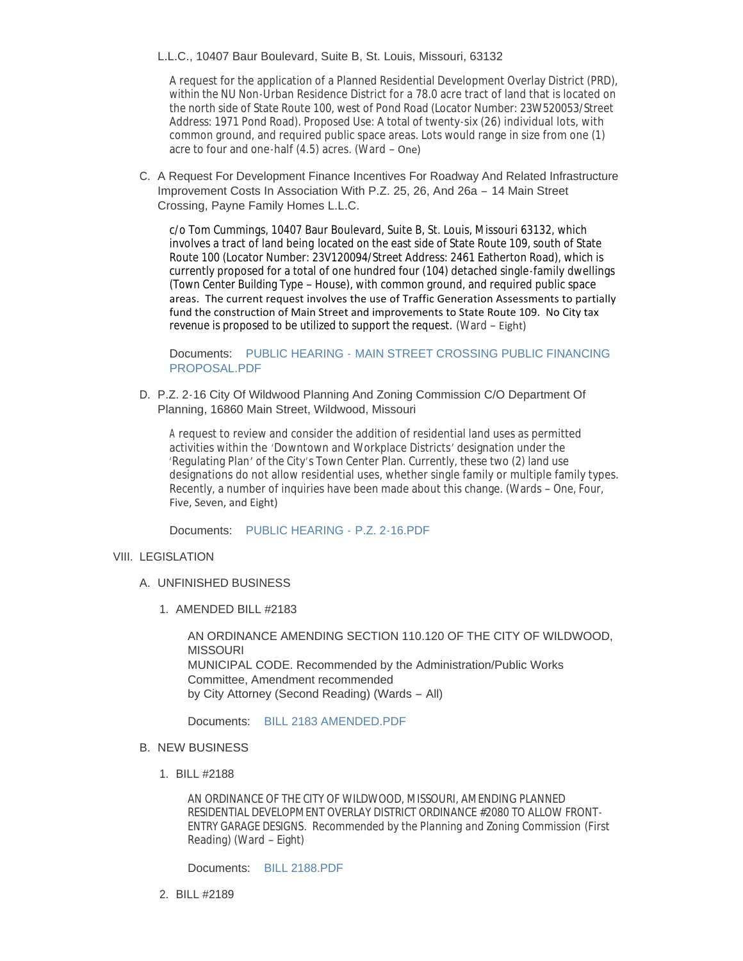## L.L.C., 10407 Baur Boulevard, Suite B, St. Louis, Missouri, 63132

A request for the application of a Planned Residential Development Overlay District (PRD), within the NU Non-Urban Residence District for a 78.0 acre tract of land that is located on the north side of State Route 100, west of Pond Road (Locator Number: 23W520053/Street Address: 1971 Pond Road). Proposed Use: A total of twenty-six (26) individual lots, with common ground, and required public space areas. Lots would range in size from one (1) acre to four and one-half (4.5) acres. (Ward – One)

C. A Request For Development Finance Incentives For Roadway And Related Infrastructure Improvement Costs In Association With P.Z. 25, 26, And 26a – 14 Main Street Crossing, Payne Family Homes L.L.C.

c/o Tom Cummings, 10407 Baur Boulevard, Suite B, St. Louis, Missouri 63132, which involves a tract of land being located on the east side of State Route 109, south of State Route 100 (Locator Number: 23V120094/Street Address: 2461 Eatherton Road), which is currently proposed for a total of one hundred four (104) detached single-family dwellings (Town Center Building Type – House), with common ground, and required public space areas. The current request involves the use of Traffic Generation Assessments to partially fund the construction of Main Street and improvements to State Route 109. No City tax revenue is proposed to be utilized to support the request. (Ward – Eight)

Documents: PUBLIC HEARING - MAIN STREET CROSSING PUBLIC FINANCING PROPOSAL.PDF

D. P.Z. 2-16 City Of Wildwood Planning And Zoning Commission C/O Department Of Planning, 16860 Main Street, Wildwood, Missouri

A request to review and consider the addition of residential land uses as permitted activities within the 'Downtown and Workplace Districts' designation under the 'Regulating Plan' of the City's Town Center Plan. Currently, these two (2) land use designations do not allow residential uses, whether single family or multiple family types. Recently, a number of inquiries have been made about this change. (Wards – One, Four, Five, Seven, and Eight)

Documents: [PUBLIC HEARING -](http://mo-wildwood.civicplus.com/AgendaCenter/ViewFile/Item/7244?fileID=10997) P.Z. 2-16.PDF

## VIII. LEGISLATION

- UNFINISHED BUSINESS A.
	- 1. AMENDED BILL #2183

AN ORDINANCE AMENDING SECTION 110.120 OF THE CITY OF WILDWOOD, **MISSOURI** MUNICIPAL CODE. Recommended by the Administration/Public Works Committee, Amendment recommended by City Attorney (Second Reading) (Wards – All)

Documents: [BILL 2183 AMENDED.PDF](http://mo-wildwood.civicplus.com/AgendaCenter/ViewFile/Item/7247?fileID=10999)

- **B. NEW BUSINESS** 
	- BILL #2188 1.

AN ORDINANCE OF THE CITY OF WILDWOOD, MISSOURI, AMENDING PLANNED RESIDENTIAL DEVELOPMENT OVERLAY DISTRICT ORDINANCE #2080 TO ALLOW FRONT-ENTRY GARAGE DESIGNS. *Recommended by the Planning and Zoning Commission* (First Reading) (Ward – Eight)

Documents: [BILL 2188.PDF](http://mo-wildwood.civicplus.com/AgendaCenter/ViewFile/Item/7249?fileID=11000)

BILL #2189 2.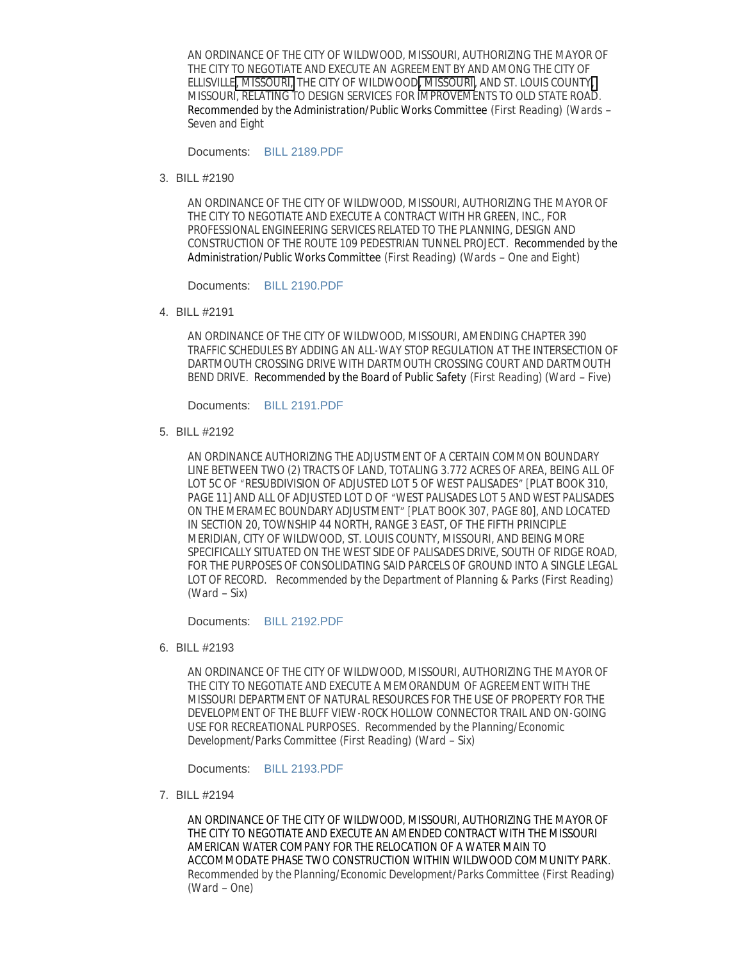AN ORDINANCE OF THE CITY OF WILDWOOD, MISSOURI, AUTHORIZING THE MAYOR OF THE CITY TO NEGOTIATE AND EXECUTE AN AGREEMENT BY AND AMONG THE CITY OF ELLISVILLE, MISSOURI, THE CITY OF WILDWOOD, MISSOURI, AND ST. LOUIS COUNTY, MISSOURI, RELATING TO DESIGN SERVICES FOR IMPROVEMENTS TO OLD STATE ROAD. *Recommended by the Administration/Public Works Committee* (First Reading) (Wards – Seven and Eight

Documents: [BILL 2189.PDF](http://mo-wildwood.civicplus.com/AgendaCenter/ViewFile/Item/7250?fileID=11001)

BILL #2190 3.

AN ORDINANCE OF THE CITY OF WILDWOOD, MISSOURI, AUTHORIZING THE MAYOR OF THE CITY TO NEGOTIATE AND EXECUTE A CONTRACT WITH HR GREEN, INC., FOR PROFESSIONAL ENGINEERING SERVICES RELATED TO THE PLANNING, DESIGN AND CONSTRUCTION OF THE ROUTE 109 PEDESTRIAN TUNNEL PROJECT. *Recommended by the Administration/Public Works Committee* (First Reading) (Wards – One and Eight)

Documents: [BILL 2190.PDF](http://mo-wildwood.civicplus.com/AgendaCenter/ViewFile/Item/7251?fileID=11002)

BILL #2191 4.

AN ORDINANCE OF THE CITY OF WILDWOOD, MISSOURI, AMENDING CHAPTER 390 TRAFFIC SCHEDULES BY ADDING AN ALL-WAY STOP REGULATION AT THE INTERSECTION OF DARTMOUTH CROSSING DRIVE WITH DARTMOUTH CROSSING COURT AND DARTMOUTH BEND DRIVE. *Recommended by the Board of Public Safety* (First Reading) (Ward – Five)

Documents: [BILL 2191.PDF](http://mo-wildwood.civicplus.com/AgendaCenter/ViewFile/Item/7252?fileID=11003)

BILL #2192 5.

AN ORDINANCE AUTHORIZING THE ADJUSTMENT OF A CERTAIN COMMON BOUNDARY LINE BETWEEN TWO (2) TRACTS OF LAND, TOTALING 3.772 ACRES OF AREA, BEING ALL OF LOT 5C OF "RESUBDIVISION OF ADJUSTED LOT 5 OF WEST PALISADES" [PLAT BOOK 310, PAGE 11] AND ALL OF ADJUSTED LOT D OF "WEST PALISADES LOT 5 AND WEST PALISADES ON THE MERAMEC BOUNDARY ADJUSTMENT" [PLAT BOOK 307, PAGE 80], AND LOCATED IN SECTION 20, TOWNSHIP 44 NORTH, RANGE 3 EAST, OF THE FIFTH PRINCIPLE MERIDIAN, CITY OF WILDWOOD, ST. LOUIS COUNTY, MISSOURI, AND BEING MORE SPECIFICALLY SITUATED ON THE WEST SIDE OF PALISADES DRIVE, SOUTH OF RIDGE ROAD, FOR THE PURPOSES OF CONSOLIDATING SAID PARCELS OF GROUND INTO A SINGLE LEGAL LOT OF RECORD. *Recommended by the Department of Planning & Parks* (First Reading) (Ward – Six)

Documents: [BILL 2192.PDF](http://mo-wildwood.civicplus.com/AgendaCenter/ViewFile/Item/7253?fileID=11004)

BILL #2193 6.

AN ORDINANCE OF THE CITY OF WILDWOOD, MISSOURI, AUTHORIZING THE MAYOR OF THE CITY TO NEGOTIATE AND EXECUTE A MEMORANDUM OF AGREEMENT WITH THE MISSOURI DEPARTMENT OF NATURAL RESOURCES FOR THE USE OF PROPERTY FOR THE DEVELOPMENT OF THE BLUFF VIEW-ROCK HOLLOW CONNECTOR TRAIL AND ON-GOING USE FOR RECREATIONAL PURPOSES. *Recommended by the Planning/Economic Development/Parks Committee* (First Reading) (Ward – Six)

Documents: [BILL 2193.PDF](http://mo-wildwood.civicplus.com/AgendaCenter/ViewFile/Item/7254?fileID=11005)

BILL #2194 7.

AN ORDINANCE OF THE CITY OF WILDWOOD, MISSOURI, AUTHORIZING THE MAYOR OF THE CITY TO NEGOTIATE AND EXECUTE AN AMENDED CONTRACT WITH THE MISSOURI AMERICAN WATER COMPANY FOR THE RELOCATION OF A WATER MAIN TO ACCOMMODATE PHASE TWO CONSTRUCTION WITHIN WILDWOOD COMMUNITY PARK. *Recommended by the Planning/Economic Development/Parks Committee* (First Reading) (Ward – One)